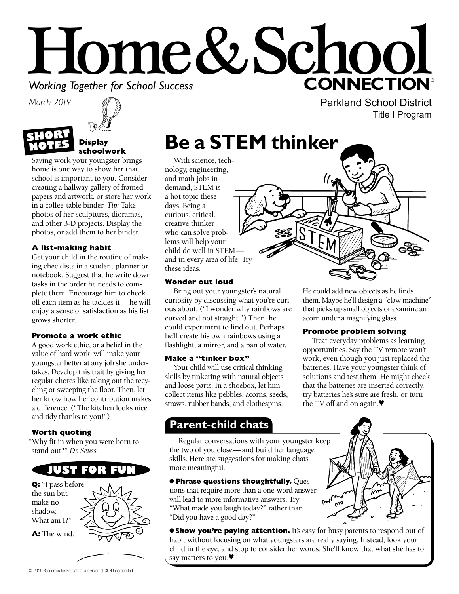# Home&Schoo **CONNECTION® Working Together for School Success**<br>March 2019

**SHORT NOTES**



#### **Display schoolwork**

Saving work your youngster brings home is one way to show her that school is important to you. Consider creating a hallway gallery of framed papers and artwork, or store her work in a coffee-table binder. *Tip:* Take photos of her sculptures, dioramas, and other 3-D projects. Display the photos, or add them to her binder.

### **A list-making habit**

Get your child in the routine of making checklists in a student planner or notebook. Suggest that he write down tasks in the order he needs to complete them. Encourage him to check off each item as he tackles it—he will enjoy a sense of satisfaction as his list grows shorter.

### **Promote a work ethic**

A good work ethic, or a belief in the value of hard work, will make your youngster better at any job she undertakes. Develop this trait by giving her regular chores like taking out the recycling or sweeping the floor. Then, let her know how her contribution makes a difference. ("The kitchen looks nice and tidy thanks to you!")

### **Worth quoting**

"Why fit in when you were born to stand out?" *Dr. Seuss*



# **Be a STEM thinker**

With science, technology, engineering, and math jobs in demand, STEM is a hot topic these days. Being a curious, critical, creative thinker who can solve problems will help your child do well in STEM and in every area of life. Try these ideas.

### **Wonder out loud**

Bring out your youngster's natural curiosity by discussing what you're curious about. ("I wonder why rainbows are curved and not straight.") Then, he could experiment to find out. Perhaps he'll create his own rainbows using a flashlight, a mirror, and a pan of water.

### **Make a "tinker box"**

Your child will use critical thinking skills by tinkering with natural objects and loose parts. In a shoebox, let him collect items like pebbles, acorns, seeds, straws, rubber bands, and clothespins.

### them. Maybe he'll design a "claw machine" that picks up small objects or examine an acorn under a magnifying glass.

### **Promote problem solving**

Treat everyday problems as learning opportunities. Say the TV remote won't work, even though you just replaced the batteries. Have your youngster think of solutions and test them. He might check that the batteries are inserted correctly, try batteries he's sure are fresh, or turn the TV off and on again.♥

### **Parent-child chats**

Regular conversations with your youngster keep the two of you close—and build her language skills. Here are suggestions for making chats more meaningful.

● **Phrase questions thoughtfully.** Questions that require more than a one-word answer will lead to more informative answers. Try "What made you laugh today?" rather than "Did you have a good day?"



**Show you're paying attention.** It's easy for busy parents to respond out of habit without focusing on what youngsters are really saying. Instead, look your child in the eye, and stop to consider her words. She'll know that what she has to say matters to you.♥



Parkland School District Title I Program